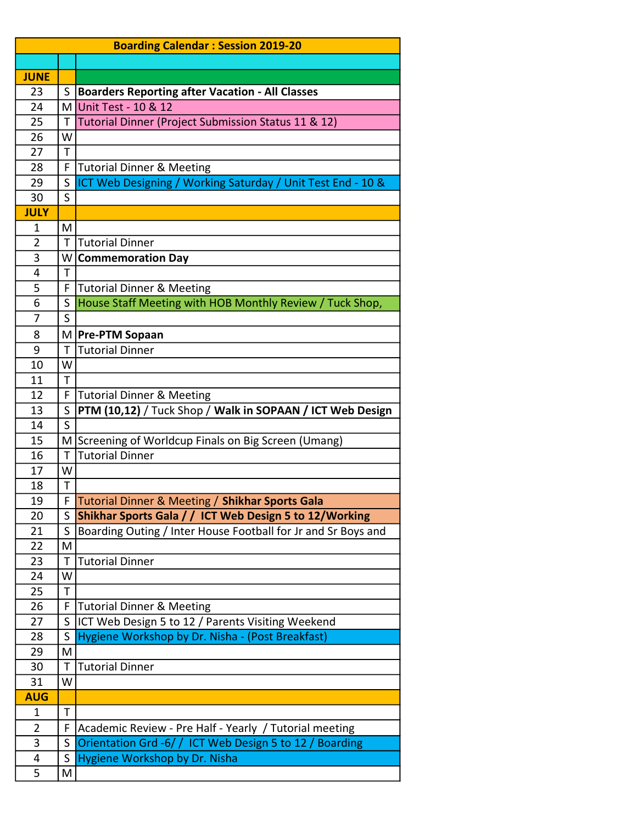|                |              | <b>Boarding Calendar: Session 2019-20</b>                                                         |
|----------------|--------------|---------------------------------------------------------------------------------------------------|
|                |              |                                                                                                   |
| <b>JUNE</b>    |              |                                                                                                   |
| 23             | S.           | <b>Boarders Reporting after Vacation - All Classes</b>                                            |
| 24             | ΜI           | Unit Test - 10 & 12                                                                               |
| 25             | Τ            | Tutorial Dinner (Project Submission Status 11 & 12)                                               |
| 26             | W            |                                                                                                   |
| 27             | Τ            |                                                                                                   |
| 28             | F            | <b>Tutorial Dinner &amp; Meeting</b>                                                              |
| 29             | S            | ICT Web Designing / Working Saturday / Unit Test End - 10 &                                       |
| 30             | S            |                                                                                                   |
| <b>JULY</b>    |              |                                                                                                   |
| 1              | M            |                                                                                                   |
| $\overline{2}$ | T            | <b>Tutorial Dinner</b>                                                                            |
| 3              |              | W Commemoration Day                                                                               |
| 4              | T            |                                                                                                   |
| 5              | F.           | Tutorial Dinner & Meeting                                                                         |
| 6              | S            | House Staff Meeting with HOB Monthly Review / Tuck Shop,                                          |
| 7              | S            |                                                                                                   |
| 8              |              | M   Pre-PTM Sopaan                                                                                |
| 9              | T            | <b>Tutorial Dinner</b>                                                                            |
| 10             | W            |                                                                                                   |
| 11             | T            |                                                                                                   |
| 12             | F<br>S       | <b>Tutorial Dinner &amp; Meeting</b><br>PTM (10,12) / Tuck Shop / Walk in SOPAAN / ICT Web Design |
| 13<br>14       | S            |                                                                                                   |
| 15             |              | M Screening of Worldcup Finals on Big Screen (Umang)                                              |
| 16             | $\mathsf{T}$ | <b>Tutorial Dinner</b>                                                                            |
| 17             | W            |                                                                                                   |
| 18             | Т            |                                                                                                   |
| 19             |              | F Tutorial Dinner & Meeting / Shikhar Sports Gala                                                 |
| 20             | S            | Shikhar Sports Gala / / ICT Web Design 5 to 12/Working                                            |
| 21             | S            | Boarding Outing / Inter House Football for Jr and Sr Boys and                                     |
| 22             | M            |                                                                                                   |
| 23             | Τ            | <b>Tutorial Dinner</b>                                                                            |
| 24             | W            |                                                                                                   |
| 25             | Τ            |                                                                                                   |
| 26             | F            | Tutorial Dinner & Meeting                                                                         |
| 27             | S            | ICT Web Design 5 to 12 / Parents Visiting Weekend                                                 |
| 28             | S            | Hygiene Workshop by Dr. Nisha - (Post Breakfast)                                                  |
| 29             | M            |                                                                                                   |
| 30             | Τ            | <b>Tutorial Dinner</b>                                                                            |
| 31             | W            |                                                                                                   |
| <b>AUG</b>     |              |                                                                                                   |
| 1              | T            |                                                                                                   |
| $\overline{2}$ | F            | Academic Review - Pre Half - Yearly / Tutorial meeting                                            |
| 3              | S            | Orientation Grd -6/ / ICT Web Design 5 to 12 / Boarding                                           |
| 4              | S            | Hygiene Workshop by Dr. Nisha                                                                     |
| 5              | Μ            |                                                                                                   |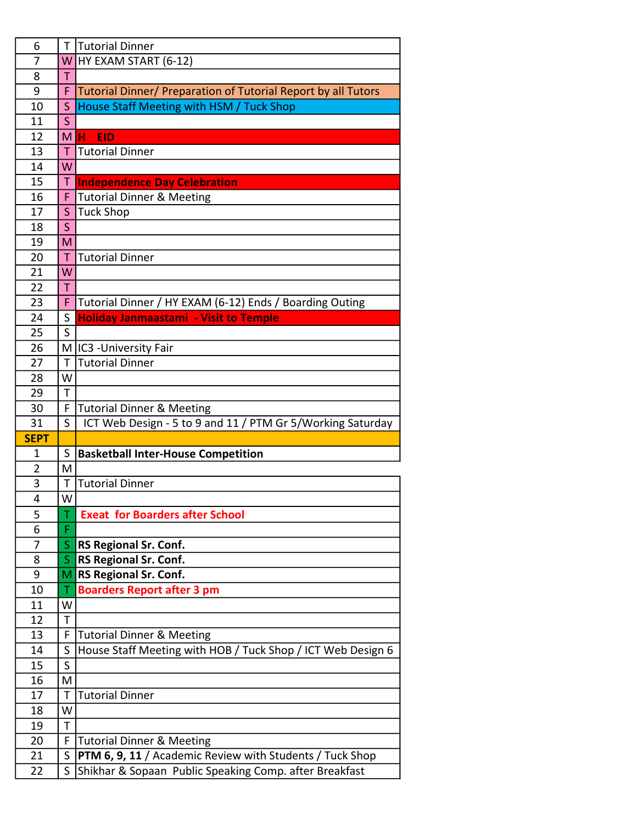| 6           | Τ                       | Tutorial Dinner                                                                                                           |
|-------------|-------------------------|---------------------------------------------------------------------------------------------------------------------------|
| 7           |                         | W HY EXAM START $(6-12)$                                                                                                  |
| 8           | T                       |                                                                                                                           |
| 9           | F                       | Tutorial Dinner/ Preparation of Tutorial Report by all Tutors                                                             |
| 10          | S                       | House Staff Meeting with HSM / Tuck Shop                                                                                  |
| 11          | S                       |                                                                                                                           |
| 12          | M H                     | <b>EID</b>                                                                                                                |
| 13          | T                       | <b>Tutorial Dinner</b>                                                                                                    |
| 14          | W                       |                                                                                                                           |
| 15          |                         | T Independence Day Celebration                                                                                            |
| 16          | F                       | <b>Tutorial Dinner &amp; Meeting</b>                                                                                      |
| 17          | S                       | <b>Tuck Shop</b>                                                                                                          |
| 18          | $\overline{\mathsf{S}}$ |                                                                                                                           |
| 19          | M                       |                                                                                                                           |
| 20          | T.                      | <b>Tutorial Dinner</b>                                                                                                    |
| 21          | W                       |                                                                                                                           |
| 22          | T.                      |                                                                                                                           |
| 23          | F                       | Tutorial Dinner / HY EXAM (6-12) Ends / Boarding Outing                                                                   |
| 24          | S                       | <b>Holiday Janmaastami - Visit to Temple</b>                                                                              |
| 25          | S                       |                                                                                                                           |
| 26          |                         | M IC3 - University Fair                                                                                                   |
| 27          | T                       | <b>Tutorial Dinner</b>                                                                                                    |
| 28          | W                       |                                                                                                                           |
| 29          | $\mathsf{T}$            |                                                                                                                           |
| 30          | F                       |                                                                                                                           |
|             |                         | <b>Tutorial Dinner &amp; Meeting</b>                                                                                      |
| 31          | S                       | ICT Web Design - 5 to 9 and 11 / PTM Gr 5/Working Saturday                                                                |
| <b>SEPT</b> |                         |                                                                                                                           |
| 1           | S                       | <b>Basketball Inter-House Competition</b>                                                                                 |
| 2           | M                       |                                                                                                                           |
| 3           | Τ                       | <b>Tutorial Dinner</b>                                                                                                    |
| 4           | W                       |                                                                                                                           |
| 5           | T.                      | <b>Exeat for Boarders after School</b>                                                                                    |
| 6           | F                       |                                                                                                                           |
| 7           | S.                      | <b>RS Regional Sr. Conf.</b>                                                                                              |
| 8           | $S_{-}$                 | <b>RS Regional Sr. Conf.</b>                                                                                              |
| 9           |                         | M RS Regional Sr. Conf.                                                                                                   |
| 10          | Τ                       | <b>Boarders Report after 3 pm</b>                                                                                         |
| 11          | W                       |                                                                                                                           |
| 12          | T                       |                                                                                                                           |
| 13          | F                       | <b>Tutorial Dinner &amp; Meeting</b>                                                                                      |
| 14          | S.                      | House Staff Meeting with HOB / Tuck Shop / ICT Web Design 6                                                               |
| 15          | $\mathsf{S}$            |                                                                                                                           |
| 16          | M                       |                                                                                                                           |
| 17          | T                       | <b>Tutorial Dinner</b>                                                                                                    |
| 18          | W                       |                                                                                                                           |
| 19          | $\mathsf T$             |                                                                                                                           |
| 20          | F                       | <b>Tutorial Dinner &amp; Meeting</b>                                                                                      |
| 21<br>22    | S<br>S                  | <b>PTM 6, 9, 11</b> / Academic Review with Students / Tuck Shop<br>Shikhar & Sopaan Public Speaking Comp. after Breakfast |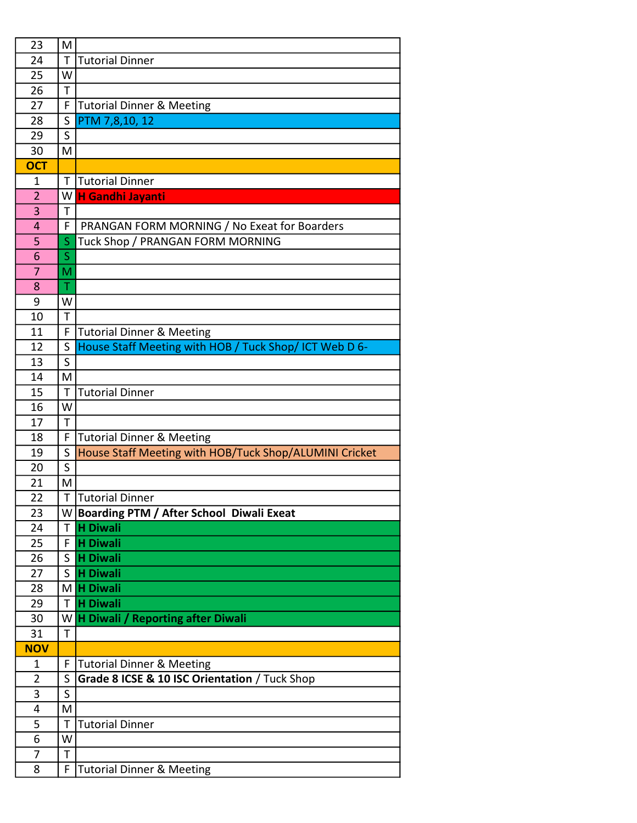| 23             | M |                                                        |
|----------------|---|--------------------------------------------------------|
| 24             | T | <b>Tutorial Dinner</b>                                 |
| 25             | W |                                                        |
| 26             | T |                                                        |
| 27             | F | <b>Tutorial Dinner &amp; Meeting</b>                   |
| 28             | S | PTM 7,8,10, 12                                         |
| 29             | S |                                                        |
| 30             | M |                                                        |
| <b>OCT</b>     |   |                                                        |
| 1              | Т | <b>Tutorial Dinner</b>                                 |
| $\overline{2}$ | W | <b>H Gandhi Jayanti</b>                                |
| 3              | Τ |                                                        |
| 4              | F | PRANGAN FORM MORNING / No Exeat for Boarders           |
| 5              | S | Tuck Shop / PRANGAN FORM MORNING                       |
| 6              | S |                                                        |
| 7              | M |                                                        |
| 8              | Τ |                                                        |
| 9              | W |                                                        |
| 10             | T |                                                        |
| 11             | F | <b>Tutorial Dinner &amp; Meeting</b>                   |
| 12             | S | House Staff Meeting with HOB / Tuck Shop/ ICT Web D 6- |
| 13             | S |                                                        |
| 14             | M |                                                        |
| 15             | T | <b>Tutorial Dinner</b>                                 |
| 16             | W |                                                        |
| 17             | T |                                                        |
| 18             | F | <b>Tutorial Dinner &amp; Meeting</b>                   |
| 19             | S | House Staff Meeting with HOB/Tuck Shop/ALUMINI Cricket |
| 20             | S |                                                        |
| 21             | M |                                                        |
| 22             |   | T Tutorial Dinner                                      |
| 23             |   | W Boarding PTM / After School Diwali Exeat             |
| 24             | T | <b>H</b> Diwali                                        |
| 25             | F | <b>H Diwali</b>                                        |
| 26             | S | <b>H</b> Diwali                                        |
| 27             | S | <b>H</b> Diwali                                        |
| 28             |   | M H Diwali                                             |
| 29             | T | <b>H</b> Diwali                                        |
| 30             |   | W H Diwali / Reporting after Diwali                    |
| 31             | T |                                                        |
| <b>NOV</b>     |   |                                                        |
| 1              | F | <b>Tutorial Dinner &amp; Meeting</b>                   |
| $\overline{2}$ | S | Grade 8 ICSE & 10 ISC Orientation / Tuck Shop          |
| 3              | S |                                                        |
| 4              | M |                                                        |
| 5              | T | <b>Tutorial Dinner</b>                                 |
| 6              | W |                                                        |
| 7              | Τ |                                                        |
| 8              | F | <b>Tutorial Dinner &amp; Meeting</b>                   |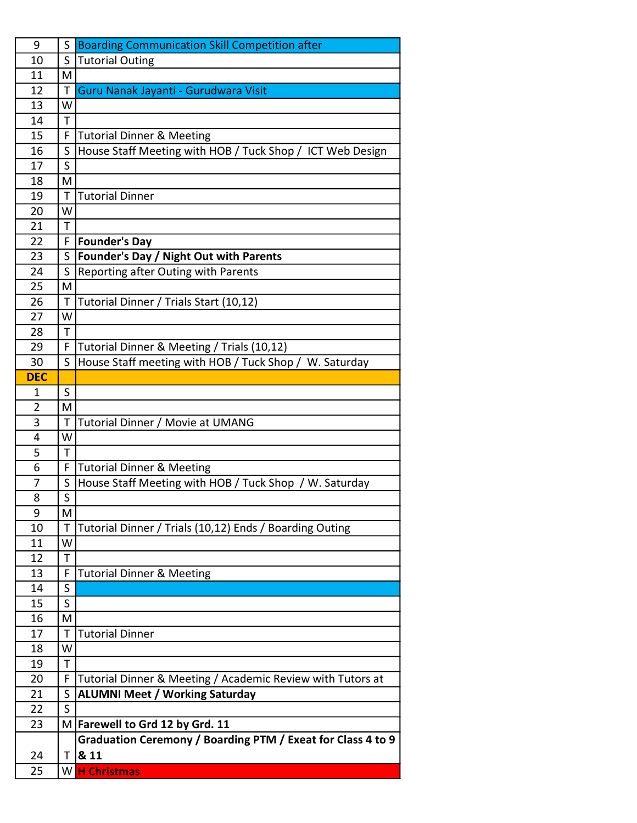| 9              | S  | <b>Boarding Communication Skill Competition after</b>       |
|----------------|----|-------------------------------------------------------------|
| 10             | S  | <b>Tutorial Outing</b>                                      |
| 11             | M  |                                                             |
| 12             | Τ  | Guru Nanak Jayanti - Gurudwara Visit                        |
| 13             | W  |                                                             |
| 14             | T  |                                                             |
| 15             | F  | <b>Tutorial Dinner &amp; Meeting</b>                        |
| 16             | S  | House Staff Meeting with HOB / Tuck Shop / ICT Web Design   |
| 17             | S  |                                                             |
| 18             | M  |                                                             |
| 19             | T  | <b>Tutorial Dinner</b>                                      |
| 20             | W  |                                                             |
| 21             | T  |                                                             |
| 22             | F  | <b>Founder's Day</b>                                        |
| 23             | S. | <b>Founder's Day / Night Out with Parents</b>               |
| 24             | S  | Reporting after Outing with Parents                         |
| 25             | M  |                                                             |
| 26             | T  | Tutorial Dinner / Trials Start (10,12)                      |
| 27             | W  |                                                             |
| 28             | T  |                                                             |
| 29             | F  | Tutorial Dinner & Meeting / Trials (10,12)                  |
| 30             | S  | House Staff meeting with HOB / Tuck Shop / W. Saturday      |
| <b>DEC</b>     |    |                                                             |
| 1              | S  |                                                             |
| $\overline{2}$ | M  |                                                             |
| 3              | Τ  | Tutorial Dinner / Movie at UMANG                            |
| 4              | W  |                                                             |
| 5              | T  |                                                             |
| 6              | F  | <b>Tutorial Dinner &amp; Meeting</b>                        |
| 7              | S  | House Staff Meeting with HOB / Tuck Shop / W. Saturday      |
| 8              | S  |                                                             |
| 9              | M  |                                                             |
| 10             | Τ  | Tutorial Dinner / Trials (10,12) Ends / Boarding Outing     |
| 11             | W  |                                                             |
| 12             | T  |                                                             |
| 13             | F  | <b>Tutorial Dinner &amp; Meeting</b>                        |
| 14             | S  |                                                             |
| 15             | S  |                                                             |
| 16             | M  |                                                             |
| 17             | Τ  | <b>Tutorial Dinner</b>                                      |
| 18             | W  |                                                             |
| 19             | T  |                                                             |
| 20             | F  | Tutorial Dinner & Meeting / Academic Review with Tutors at  |
| 21             | S  | <b>ALUMNI Meet / Working Saturday</b>                       |
| 22             | S  |                                                             |
| 23             |    | M Farewell to Grd 12 by Grd. 11                             |
|                |    | Graduation Ceremony / Boarding PTM / Exeat for Class 4 to 9 |
| 24             |    | $T$ 8.11                                                    |
| 25             |    | W H Christmas                                               |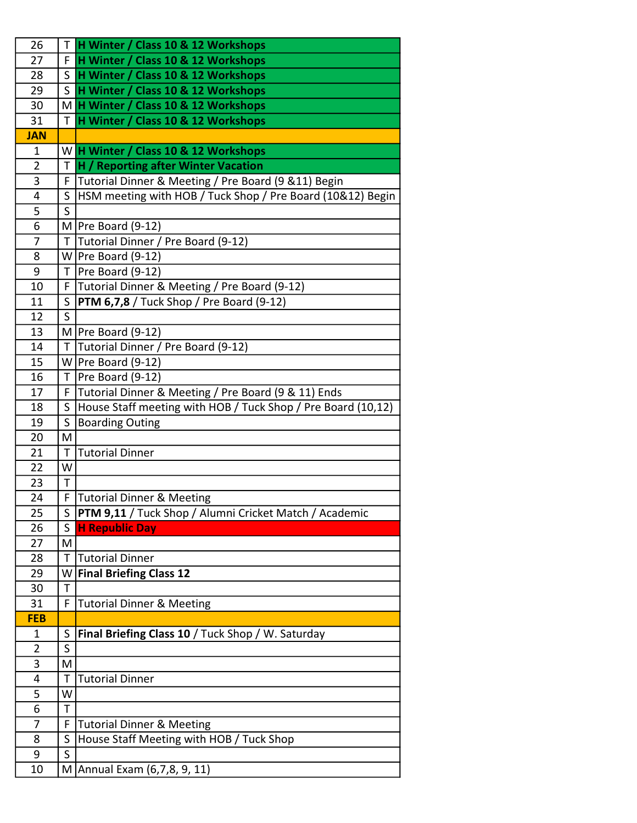| 26             |                         | T H Winter / Class 10 & 12 Workshops                             |
|----------------|-------------------------|------------------------------------------------------------------|
| 27             | F.                      | H Winter / Class 10 & 12 Workshops                               |
| 28             |                         | S H Winter / Class 10 & 12 Workshops                             |
| 29             | $\mathsf{S}$            | H Winter / Class 10 & 12 Workshops                               |
| 30             |                         | M H Winter / Class 10 & 12 Workshops                             |
| 31             |                         | T H Winter / Class 10 & 12 Workshops                             |
| <b>JAN</b>     |                         |                                                                  |
| $\mathbf 1$    |                         | W H Winter / Class 10 & 12 Workshops                             |
| $\overline{2}$ |                         | T H / Reporting after Winter Vacation                            |
| 3              |                         | F Tutorial Dinner & Meeting / Pre Board (9 & 11) Begin           |
| 4              |                         | S  HSM meeting with HOB / Tuck Shop / Pre Board (10&12) Begin    |
| 5              | $\mathsf{S}$            |                                                                  |
| 6              |                         | $M$  Pre Board (9-12)                                            |
| $\overline{7}$ |                         | T Tutorial Dinner / Pre Board (9-12)                             |
| 8              |                         | $W$ Pre Board (9-12)                                             |
| 9              |                         | $T$   Pre Board (9-12)                                           |
| 10             |                         | F Tutorial Dinner & Meeting / Pre Board (9-12)                   |
| 11             | S.                      | $\vert$ PTM 6,7,8 / Tuck Shop / Pre Board (9-12)                 |
| 12             | S                       |                                                                  |
| 13             |                         | $M$  Pre Board (9-12)                                            |
| 14             |                         | T Tutorial Dinner / Pre Board (9-12)                             |
| 15             |                         | $W$ Pre Board (9-12)                                             |
| 16             |                         | $T$  Pre Board (9-12)                                            |
| 17             |                         | F Tutorial Dinner & Meeting / Pre Board (9 & 11) Ends            |
| 18             |                         | S   House Staff meeting with HOB / Tuck Shop / Pre Board (10,12) |
| 19             | $\mathsf{S}$            | <b>Boarding Outing</b>                                           |
| 20             | M                       |                                                                  |
| 21             |                         | T Tutorial Dinner                                                |
| 22             | W                       |                                                                  |
| 23<br>24       | T                       | F Tutorial Dinner & Meeting                                      |
| 25             | S                       | PTM 9,11 / Tuck Shop / Alumni Cricket Match / Academic           |
| 26             | S                       | <b>H Republic Day</b>                                            |
| 27             | M                       |                                                                  |
| 28             | T                       | <b>Tutorial Dinner</b>                                           |
| 29             |                         | W Final Briefing Class 12                                        |
| 30             | T                       |                                                                  |
| 31             | F                       | <b>Tutorial Dinner &amp; Meeting</b>                             |
| <b>FEB</b>     |                         |                                                                  |
| 1              | S                       | Final Briefing Class 10 / Tuck Shop / W. Saturday                |
| 2              | S                       |                                                                  |
| 3              | M                       |                                                                  |
| 4              | Т                       | <b>Tutorial Dinner</b>                                           |
| 5              | W                       |                                                                  |
| 6              | T                       |                                                                  |
| 7              | F                       | <b>Tutorial Dinner &amp; Meeting</b>                             |
| 8              | S                       | House Staff Meeting with HOB / Tuck Shop                         |
| 9              | $\overline{\mathsf{s}}$ |                                                                  |
| 10             |                         | M Annual Exam (6,7,8, 9, 11)                                     |